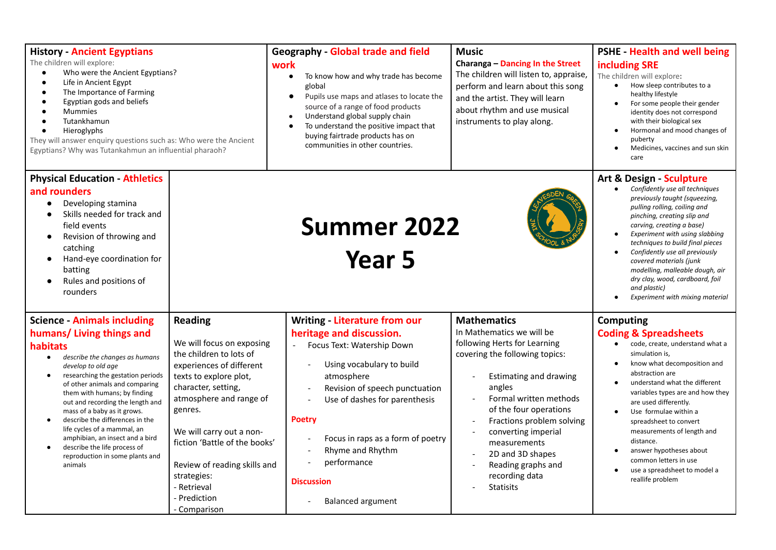| <b>History - Ancient Egyptians</b><br>The children will explore:<br>Who were the Ancient Egyptians?<br>Life in Ancient Egypt<br>The Importance of Farming<br>Egyptian gods and beliefs<br><b>Mummies</b><br>Tutankhamun<br>Hieroglyphs<br>They will answer enquiry questions such as: Who were the Ancient<br>Egyptians? Why was Tutankahmun an influential pharaoh?                                                                                                                                                                    |                                                                                                                                                                                                                                                                                                                                                      | <b>Geography - Global trade and field</b><br>work<br>To know how and why trade has become<br>$\bullet$<br>global<br>Pupils use maps and atlases to locate the<br>$\bullet$<br>source of a range of food products<br>Understand global supply chain<br>To understand the positive impact that<br>buying fairtrade products has on<br>communities in other countries.                                                                                              | <b>Music</b><br>Charanga - Dancing In the Street<br>The children will listen to, appraise,<br>perform and learn about this song<br>and the artist. They will learn<br>about rhythm and use musical<br>instruments to play along.                                                                                                                                     | <b>PSHE</b> Health and well being<br>including SRE<br>The children will explore:<br>How sleep contributes to a<br>healthy lifestyle<br>For some people their gender<br>identity does not correspond<br>with their biological sex<br>Hormonal and mood changes of<br>puberty<br>Medicines, vaccines and sun skin<br>$\bullet$<br>care                                                                                                                                         |
|-----------------------------------------------------------------------------------------------------------------------------------------------------------------------------------------------------------------------------------------------------------------------------------------------------------------------------------------------------------------------------------------------------------------------------------------------------------------------------------------------------------------------------------------|------------------------------------------------------------------------------------------------------------------------------------------------------------------------------------------------------------------------------------------------------------------------------------------------------------------------------------------------------|------------------------------------------------------------------------------------------------------------------------------------------------------------------------------------------------------------------------------------------------------------------------------------------------------------------------------------------------------------------------------------------------------------------------------------------------------------------|----------------------------------------------------------------------------------------------------------------------------------------------------------------------------------------------------------------------------------------------------------------------------------------------------------------------------------------------------------------------|------------------------------------------------------------------------------------------------------------------------------------------------------------------------------------------------------------------------------------------------------------------------------------------------------------------------------------------------------------------------------------------------------------------------------------------------------------------------------|
| <b>Physical Education - Athletics</b><br>and rounders<br>Developing stamina<br>$\bullet$<br>Skills needed for track and<br>$\bullet$<br>field events<br>Revision of throwing and<br>$\bullet$<br>catching<br>Hand-eye coordination for<br>$\bullet$<br>batting<br>Rules and positions of<br>rounders                                                                                                                                                                                                                                    |                                                                                                                                                                                                                                                                                                                                                      | Art & Design - Sculpture<br>Confidently use all techniques<br>$\bullet$<br>previously taught (squeezing,<br>pulling rolling, coiling and<br>pinching, creating slip and<br>carving, creating a base)<br>Experiment with using slabbing<br>techniques to build final pieces<br>Confidently use all previously<br>covered materials (junk<br>modelling, malleable dough, air<br>dry clay, wood, cardboard, foil<br>and plastic)<br>Experiment with mixing material |                                                                                                                                                                                                                                                                                                                                                                      |                                                                                                                                                                                                                                                                                                                                                                                                                                                                              |
| <b>Science - Animals including</b><br>humans/ Living things and<br>habitats<br>describe the changes as humans<br>$\bullet$<br>develop to old age<br>researching the gestation periods<br>$\bullet$<br>of other animals and comparing<br>them with humans; by finding<br>out and recording the length and<br>mass of a baby as it grows.<br>describe the differences in the<br>$\bullet$<br>life cycles of a mammal, an<br>amphibian, an insect and a bird<br>describe the life process of<br>reproduction in some plants and<br>animals | <b>Reading</b><br>We will focus on exposing<br>the children to lots of<br>experiences of different<br>texts to explore plot,<br>character, setting,<br>atmosphere and range of<br>genres.<br>We will carry out a non-<br>fiction 'Battle of the books'<br>Review of reading skills and<br>strategies:<br>- Retrieval<br>- Prediction<br>- Comparison | Writing - Literature from our<br>heritage and discussion.<br>Focus Text: Watership Down<br>Using vocabulary to build<br>atmosphere<br>Revision of speech punctuation<br>Use of dashes for parenthesis<br><b>Poetry</b><br>Focus in raps as a form of poetry<br>Rhyme and Rhythm<br>performance<br><b>Discussion</b><br><b>Balanced argument</b>                                                                                                                  | <b>Mathematics</b><br>In Mathematics we will be<br>following Herts for Learning<br>covering the following topics:<br><b>Estimating and drawing</b><br>angles<br>Formal written methods<br>of the four operations<br>Fractions problem solving<br>converting imperial<br>measurements<br>2D and 3D shapes<br>Reading graphs and<br>recording data<br><b>Statisits</b> | <b>Computing</b><br><b>Coding &amp; Spreadsheets</b><br>code, create, understand what a<br>$\bullet$<br>simulation is,<br>know what decomposition and<br>abstraction are<br>understand what the different<br>variables types are and how they<br>are used differently.<br>Use formulae within a<br>spreadsheet to convert<br>measurements of length and<br>distance.<br>answer hypotheses about<br>common letters in use<br>use a spreadsheet to model a<br>reallife problem |